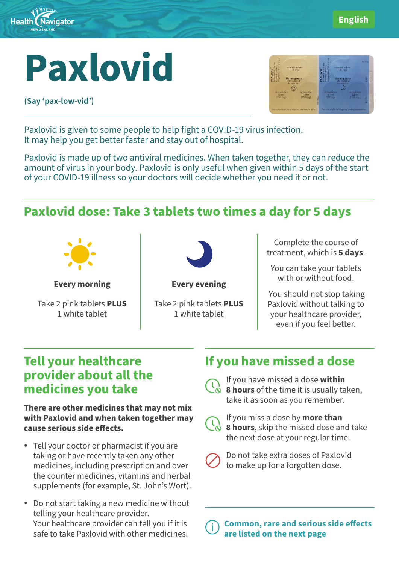

# **Paxlovid**

**(Say 'pax-low-vid')**



Paxlovid is given to some people to help fight a COVID-19 virus infection. It may help you get better faster and stay out of hospital.

Paxlovid is made up of two antiviral medicines. When taken together, they can reduce the amount of virus in your body. Paxlovid is only useful when given within 5 days of the start of your COVID-19 illness so your doctors will decide whether you need it or not.

# **Paxlovid dose: Take 3 tablets two times a day for 5 days**



**Every morning**

Take 2 pink tablets **PLUS** 1 white tablet



**Every evening**

Take 2 pink tablets **PLUS** 1 white tablet

Complete the course of treatment, which is **5 days**.

You can take your tablets with or without food.

You should not stop taking Paxlovid without talking to your healthcare provider, even if you feel better.

### **Tell your healthcare provider about all the medicines you take**

**There are other medicines that may not mix with Paxlovid and when taken together may cause serious side effects.** 

- Tell your doctor or pharmacist if you are taking or have recently taken any other medicines, including prescription and over the counter medicines, vitamins and herbal supplements (for example, St. John's Wort).
- Do not start taking a new medicine without telling your healthcare provider. Your healthcare provider can tell you if it is safe to take Paxlovid with other medicines.

## **If you have missed a dose**

If you have missed a dose **within 8 hours** of the time it is usually taken, take it as soon as you remember.



If you miss a dose by **more than 8 hours**, skip the missed dose and take the next dose at your regular time.



Do not take extra doses of Paxlovid to make up for a forgotten dose.

Common, rare and serious side effects are listed on the next page